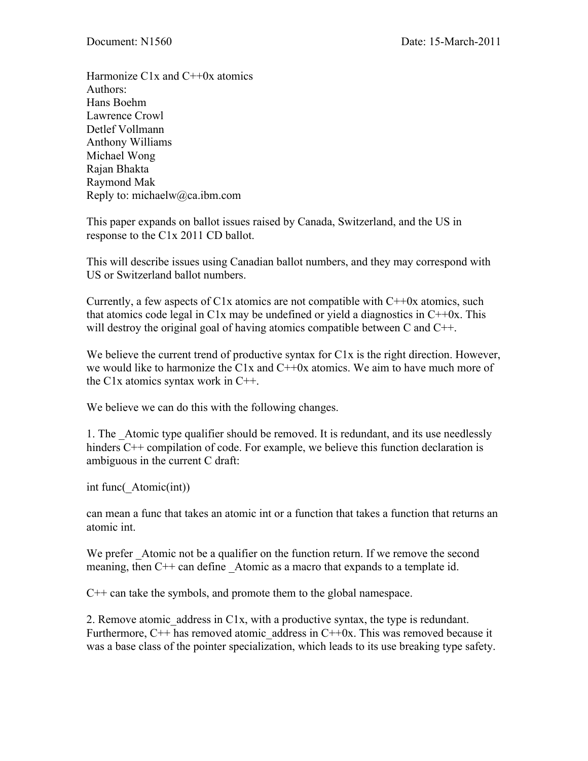Harmonize  $C1x$  and  $C++0x$  atomics Authors: Hans Boehm Lawrence Crowl Detlef Vollmann Anthony Williams Michael Wong Rajan Bhakta Raymond Mak Reply to: michaelw@ca.ibm.com

This paper expands on ballot issues raised by Canada, Switzerland, and the US in response to the C1x 2011 CD ballot.

This will describe issues using Canadian ballot numbers, and they may correspond with US or Switzerland ballot numbers.

Currently, a few aspects of C1x atomics are not compatible with  $C+10x$  atomics, such that atomics code legal in C1x may be undefined or yield a diagnostics in  $C+10x$ . This will destroy the original goal of having atomics compatible between C and C<sup>++</sup>.

We believe the current trend of productive syntax for C1x is the right direction. However, we would like to harmonize the C1x and  $C+0x$  atomics. We aim to have much more of the C1x atomics syntax work in C++.

We believe we can do this with the following changes.

1. The \_Atomic type qualifier should be removed. It is redundant, and its use needlessly hinders C<sup>++</sup> compilation of code. For example, we believe this function declaration is ambiguous in the current C draft:

int func(\_Atomic(int))

can mean a func that takes an atomic int or a function that takes a function that returns an atomic int.

We prefer Atomic not be a qualifier on the function return. If we remove the second meaning, then C<sup>++</sup> can define Atomic as a macro that expands to a template id.

C++ can take the symbols, and promote them to the global namespace.

2. Remove atomic address in C1x, with a productive syntax, the type is redundant. Furthermore,  $C_{++}$  has removed atomic address in  $C_{+}+0x$ . This was removed because it was a base class of the pointer specialization, which leads to its use breaking type safety.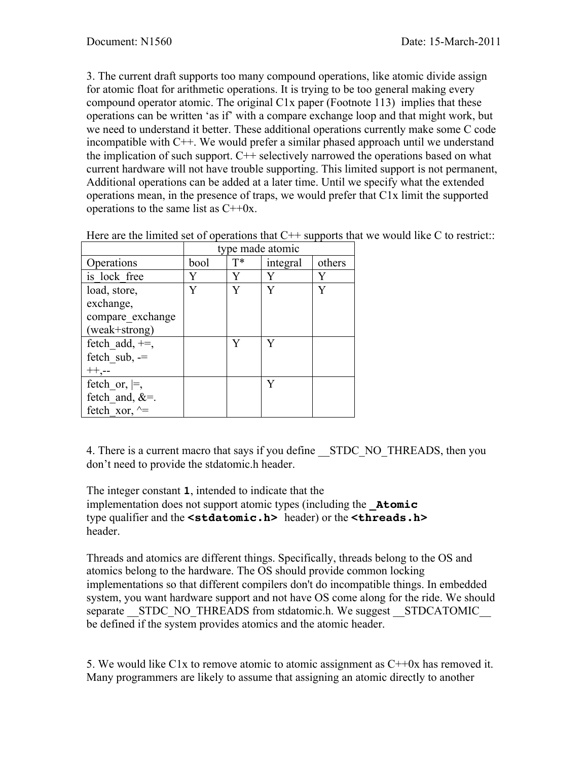3. The current draft supports too many compound operations, like atomic divide assign for atomic float for arithmetic operations. It is trying to be too general making every compound operator atomic. The original C1x paper (Footnote 113) implies that these operations can be written 'as if' with a compare exchange loop and that might work, but we need to understand it better. These additional operations currently make some C code incompatible with C++. We would prefer a similar phased approach until we understand the implication of such support. C++ selectively narrowed the operations based on what current hardware will not have trouble supporting. This limited support is not permanent, Additional operations can be added at a later time. Until we specify what the extended operations mean, in the presence of traps, we would prefer that C1x limit the supported operations to the same list as  $C++0x$ .

|                       | type made atomic |       |          |        |
|-----------------------|------------------|-------|----------|--------|
| Operations            | bool             | $T^*$ | integral | others |
| is lock free          |                  | V     | Y        | Y      |
| load, store,          |                  |       |          | V      |
| exchange,             |                  |       |          |        |
| compare exchange      |                  |       |          |        |
| (weak+strong)         |                  |       |          |        |
| fetch add, $+=$ ,     |                  | V     | V        |        |
| fetch $sub, =$        |                  |       |          |        |
|                       |                  |       |          |        |
| fetch or, $\models$ , |                  |       | Y        |        |
| fetch and, $&=$ .     |                  |       |          |        |
| fetch xor, $\wedge$ = |                  |       |          |        |

Here are the limited set of operations that  $C^{++}$  supports that we would like C to restrict::

4. There is a current macro that says if you define STDC\_NO\_THREADS, then you don't need to provide the stdatomic.h header.

The integer constant **1**, intended to indicate that the implementation does not support atomic types (including the **\_Atomic** type qualifier and the **<stdatomic.h>** header) or the **<threads.h>** header.

Threads and atomics are different things. Specifically, threads belong to the OS and atomics belong to the hardware. The OS should provide common locking implementations so that different compilers don't do incompatible things. In embedded system, you want hardware support and not have OS come along for the ride. We should separate \_\_STDC\_NO\_THREADS from stdatomic.h. We suggest \_\_STDCATOMIC be defined if the system provides atomics and the atomic header.

5. We would like C1x to remove atomic to atomic assignment as  $C++0x$  has removed it. Many programmers are likely to assume that assigning an atomic directly to another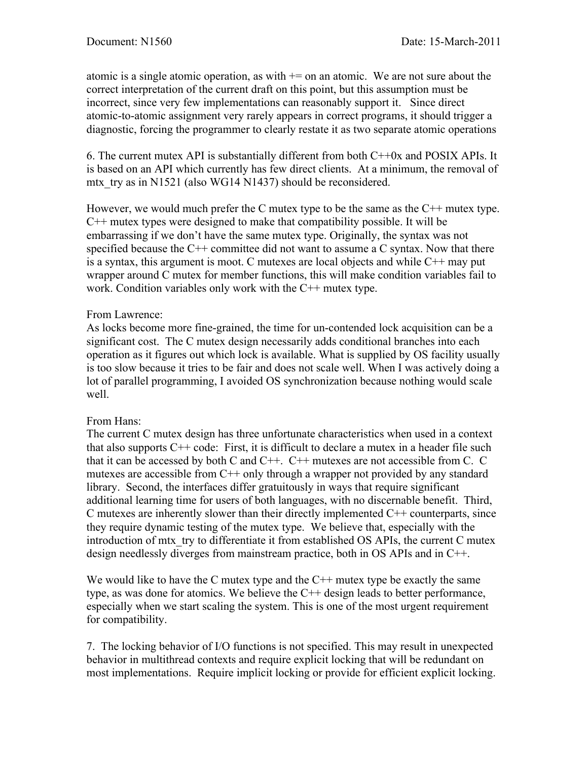atomic is a single atomic operation, as with  $+=$  on an atomic. We are not sure about the correct interpretation of the current draft on this point, but this assumption must be incorrect, since very few implementations can reasonably support it. Since direct atomic-to-atomic assignment very rarely appears in correct programs, it should trigger a diagnostic, forcing the programmer to clearly restate it as two separate atomic operations

6. The current mutex API is substantially different from both C++0x and POSIX APIs. It is based on an API which currently has few direct clients. At a minimum, the removal of mtx try as in N1521 (also WG14 N1437) should be reconsidered.

However, we would much prefer the C mutex type to be the same as the C++ mutex type. C++ mutex types were designed to make that compatibility possible. It will be embarrassing if we don't have the same mutex type. Originally, the syntax was not specified because the C++ committee did not want to assume a C syntax. Now that there is a syntax, this argument is moot. C mutexes are local objects and while C++ may put wrapper around C mutex for member functions, this will make condition variables fail to work. Condition variables only work with the C++ mutex type.

## From Lawrence:

As locks become more fine-grained, the time for un-contended lock acquisition can be a significant cost. The C mutex design necessarily adds conditional branches into each operation as it figures out which lock is available. What is supplied by OS facility usually is too slow because it tries to be fair and does not scale well. When I was actively doing a lot of parallel programming, I avoided OS synchronization because nothing would scale well.

## From Hans:

The current C mutex design has three unfortunate characteristics when used in a context that also supports  $C^{++}$  code: First, it is difficult to declare a mutex in a header file such that it can be accessed by both C and  $C_{++}$ .  $C_{++}$  mutexes are not accessible from C. C mutexes are accessible from C<sup>++</sup> only through a wrapper not provided by any standard library. Second, the interfaces differ gratuitously in ways that require significant additional learning time for users of both languages, with no discernable benefit. Third,  $C$  mutexes are inherently slower than their directly implemented  $C++$  counterparts, since they require dynamic testing of the mutex type. We believe that, especially with the introduction of mtx\_try to differentiate it from established OS APIs, the current C mutex design needlessly diverges from mainstream practice, both in OS APIs and in C++.

We would like to have the C mutex type and the  $C++$  mutex type be exactly the same type, as was done for atomics. We believe the C++ design leads to better performance, especially when we start scaling the system. This is one of the most urgent requirement for compatibility.

7. The locking behavior of I/O functions is not specified. This may result in unexpected behavior in multithread contexts and require explicit locking that will be redundant on most implementations. Require implicit locking or provide for efficient explicit locking.